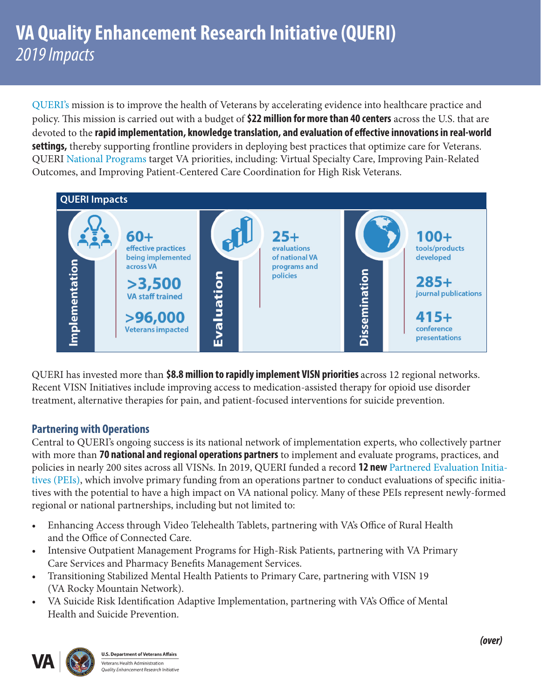[QUERI's](https://www.queri.research.va.gov) mission is to improve the health of Veterans by accelerating evidence into healthcare practice and policy. This mission is carried out with a budget of **\$22 million for more than 40 centers** across the U.S. that are devoted to the **rapid implementation, knowledge translation, and evaluation of effective innovations in real-world settings,** thereby supporting frontline providers in deploying best practices that optimize care for Veterans. QUERI [National Programs](https://www.queri.research.va.gov/programs/default.cfm) target VA priorities, including: Virtual Specialty Care, Improving Pain-Related Outcomes, and Improving Patient-Centered Care Coordination for High Risk Veterans.



QUERI has invested more than **\$8.8 million to rapidly implement VISN priorities** across 12 regional networks. Recent VISN Initiatives include improving access to medication-assisted therapy for opioid use disorder treatment, alternative therapies for pain, and patient-focused interventions for suicide prevention.

## **Partnering with Operations**

Central to QUERI's ongoing success is its national network of implementation experts, who collectively partner with more than **70 national and regional operations partners** to implement and evaluate programs, practices, and policies in nearly 200 sites across all VISNs. In 2019, QUERI funded a record **12 new** [Partnered Evaluation Initia](https://www.queri.research.va.gov/national_partnered_evaluations/default.cfm)[tives \(PEIs\),](https://www.queri.research.va.gov/national_partnered_evaluations/default.cfm) which involve primary funding from an operations partner to conduct evaluations of specific initiatives with the potential to have a high impact on VA national policy. Many of these PEIs represent newly-formed regional or national partnerships, including but not limited to:

- Enhancing Access through Video Telehealth Tablets, partnering with VA's Office of Rural Health and the Office of Connected Care.
- Intensive Outpatient Management Programs for High-Risk Patients, partnering with VA Primary Care Services and Pharmacy Benefits Management Services.
- • Transitioning Stabilized Mental Health Patients to Primary Care, partnering with VISN 19 (VA Rocky Mountain Network).
- VA Suicide Risk Identification Adaptive Implementation, partnering with VA's Office of Mental Health and Suicide Prevention.



**U.S. Department of Veterans Affairs** Veterans Health Administration **Quality Enhancement Research Initiative**